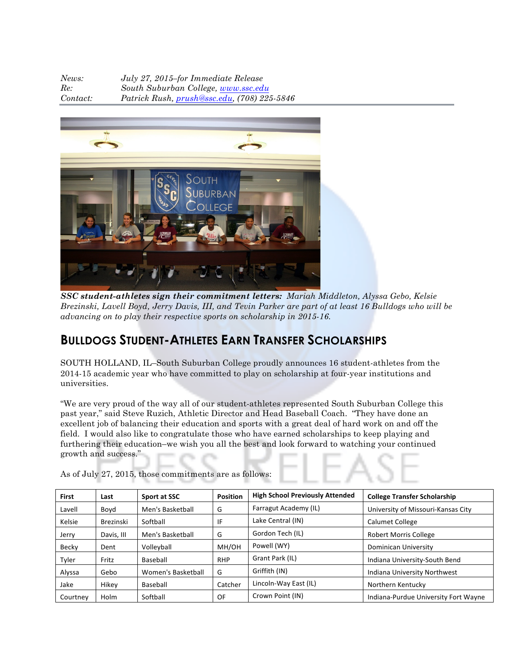| News:    | July 27, 2015-for Immediate Release            |
|----------|------------------------------------------------|
| Re:      | South Suburban College, www.ssc.edu            |
| Contact: | Patrick Rush, $prush@ssc.edu$ , (708) 225-5846 |



*SSC student-athletes sign their commitment letters: Mariah Middleton, Alyssa Gebo, Kelsie Brezinski, Lavell Boyd, Jerry Davis, III, and Tevin Parker are part of at least 16 Bulldogs who will be advancing on to play their respective sports on scholarship in 2015-16.*

## **BULLDOGS STUDENT-ATHLETES EARN TRANSFER SCHOLARSHIPS**

SOUTH HOLLAND, IL–South Suburban College proudly announces 16 student-athletes from the 2014-15 academic year who have committed to play on scholarship at four-year institutions and universities.

"We are very proud of the way all of our student-athletes represented South Suburban College this past year," said Steve Ruzich, Athletic Director and Head Baseball Coach. "They have done an excellent job of balancing their education and sports with a great deal of hard work on and off the field. I would also like to congratulate those who have earned scholarships to keep playing and furthering their education–we wish you all the best and look forward to watching your continued growth and success."

| <b>First</b> | Last             | Sport at SSC       | <b>Position</b> | <b>High School Previously Attended</b> | <b>College Transfer Scholarship</b>  |  |
|--------------|------------------|--------------------|-----------------|----------------------------------------|--------------------------------------|--|
| Lavell       | Boyd             | Men's Basketball   | G               | Farragut Academy (IL)                  | University of Missouri-Kansas City   |  |
| Kelsie       | <b>Brezinski</b> | Softball           | IF              | Lake Central (IN)                      | <b>Calumet College</b>               |  |
| Jerry        | Davis, III       | Men's Basketball   | G               | Gordon Tech (IL)                       | <b>Robert Morris College</b>         |  |
| Becky        | Dent             | Volleyball         | MH/OH           | Powell (WY)                            | Dominican University                 |  |
| Tyler        | Fritz            | Baseball           | <b>RHP</b>      | Grant Park (IL)                        | Indiana University-South Bend        |  |
| Alyssa       | Gebo             | Women's Basketball | G               | Griffith (IN)                          | Indiana University Northwest         |  |
| Jake         | Hikey            | Baseball           | Catcher         | Lincoln-Way East (IL)                  | Northern Kentucky                    |  |
| Courtney     | Holm             | Softball           | OF              | Crown Point (IN)                       | Indiana-Purdue University Fort Wayne |  |

As of July 27, 2015, those commitments are as follows: